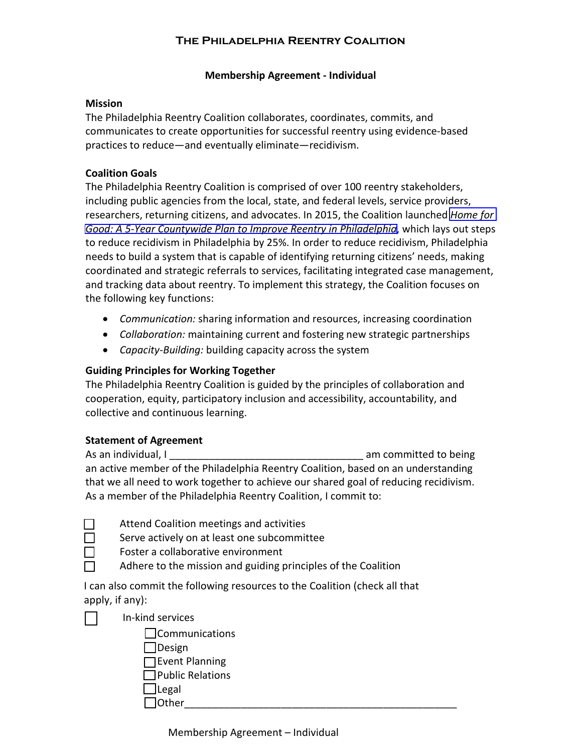# **THE PHILADELPHIA REENTRY COALITION**

### **Membership Agreement - Individual**

#### **Mission**

The Philadelphia Reentry Coalition collaborates, coordinates, commits, and communicates to create opportunities for successful reentry using evidence-based practices to reduce—and eventually eliminate—recidivism.

### **Coalition Goals**

The Philadelphia Reentry Coalition is comprised of over 100 reentry stakeholders, including public agencies from the local, state, and federal levels, service providers, researchers, returning citizens, and advocates. In 2015, the Coalition launched *[Home for](https://homeforgoodplan.files.wordpress.com/2015/10/home_for_good_voctober-final.pdf)  [Good: A 5-Year Countywide Plan to Improve Reentry in Philadelphia](https://homeforgoodplan.files.wordpress.com/2015/10/home_for_good_voctober-final.pdf)*, which lays out steps to reduce recidivism in Philadelphia by 25%. In order to reduce recidivism, Philadelphia needs to build a system that is capable of identifying returning citizens' needs, making coordinated and strategic referrals to services, facilitating integrated case management, and tracking data about reentry. To implement this strategy, the Coalition focuses on the following key functions:

- **•** *Communication:* sharing information and resources, increasing coordination
- **•** *Collaboration:* maintaining current and fostering new strategic partnerships
- x *Capacity-Building:* building capacity across the system

## **Guiding Principles for Working Together**

The Philadelphia Reentry Coalition is guided by the principles of collaboration and cooperation, equity, participatory inclusion and accessibility, accountability, and collective and continuous learning.

## **Statement of Agreement**

As an individual, I am example in the set of the set of the set of the set of the set of the set of the set of the set of the set of the set of the set of the set of the set of the set of the set of the set of the set of t an active member of the Philadelphia Reentry Coalition, based on an understanding that we all need to work together to achieve our shared goal of reducing recidivism. As a member of the Philadelphia Reentry Coalition, I commit to:

Serve actively on at least one subcommittee

Foster a collaborative environment

Adhere to the mission and guiding principles of the Coalition

I can also commit the following resources to the Coalition (check all that apply, if  $any$ :

྅  $\Box$  $\Box$ 

> **n**Communications  $\Box$  Design

In-kind services

 $\Box$  Event Planning  $\Box$  Public Relations ྅ Legal  $\Box$  Other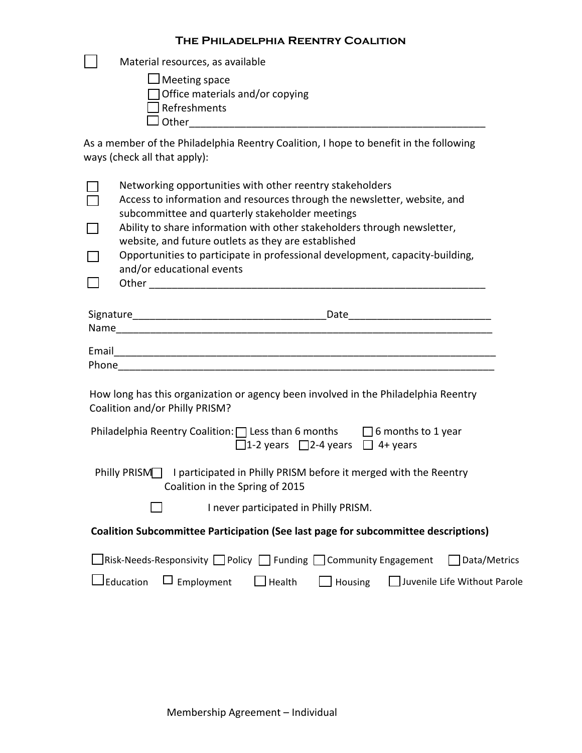Material resources, as available

Meeting space

□ Office materials and/or copying

Refreshments

Other\_\_\_\_\_\_\_\_\_\_\_\_\_\_\_\_\_\_\_\_\_\_\_\_\_\_\_\_\_\_\_\_\_\_\_\_\_\_\_\_\_\_\_\_\_\_\_\_\_\_\_\_

 $\Box$ 

As a member of the Philadelphia Reentry Coalition, I hope to benefit in the following ways (check all that apply):

| ŏ      | Networking opportunities with other reentry stakeholders<br>Access to information and resources through the newsletter, website, and<br>subcommittee and quarterly stakeholder meetings |  |  |  |  |  |  |
|--------|-----------------------------------------------------------------------------------------------------------------------------------------------------------------------------------------|--|--|--|--|--|--|
| $\Box$ | Ability to share information with other stakeholders through newsletter,<br>website, and future outlets as they are established                                                         |  |  |  |  |  |  |
| $\Box$ | Opportunities to participate in professional development, capacity-building,<br>and/or educational events                                                                               |  |  |  |  |  |  |
| $\Box$ |                                                                                                                                                                                         |  |  |  |  |  |  |
|        |                                                                                                                                                                                         |  |  |  |  |  |  |
|        |                                                                                                                                                                                         |  |  |  |  |  |  |
|        |                                                                                                                                                                                         |  |  |  |  |  |  |
|        |                                                                                                                                                                                         |  |  |  |  |  |  |
|        | How long has this organization or agency been involved in the Philadelphia Reentry<br>Coalition and/or Philly PRISM?                                                                    |  |  |  |  |  |  |
|        | Philadelphia Reentry Coalition: $\Box$ Less than 6 months $\Box$ 6 months to 1 year<br>$\Box$ 1-2 years $\Box$ 2-4 years $\Box$ 4+ years                                                |  |  |  |  |  |  |
|        | Philly PRISM   I participated in Philly PRISM before it merged with the Reentry<br>Coalition in the Spring of 2015                                                                      |  |  |  |  |  |  |
|        | I never participated in Philly PRISM.                                                                                                                                                   |  |  |  |  |  |  |
|        | Coalition Subcommittee Participation (See last page for subcommittee descriptions)                                                                                                      |  |  |  |  |  |  |
|        | □Risk-Needs-Responsivity □ Policy □ Funding □ Community Engagement □ Data/Metrics                                                                                                       |  |  |  |  |  |  |
|        | $\Box$ Employment $\Box$ Health<br>Juvenile Life Without Parole<br>JEducation<br>$\Box$ Housing                                                                                         |  |  |  |  |  |  |